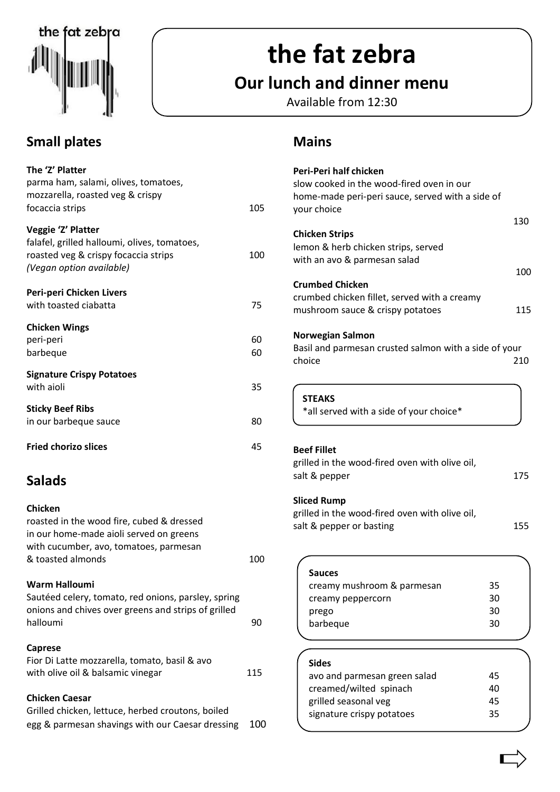

# **the fat zebra**

# **Our lunch and dinner menu**

Available from 12:30

## **Small plates**

| The 'Z' Platter<br>parma ham, salami, olives, tomatoes,<br>mozzarella, roasted veg & crispy                                                                           |          |
|-----------------------------------------------------------------------------------------------------------------------------------------------------------------------|----------|
| focaccia strips                                                                                                                                                       | 105      |
| Veggie 'Z' Platter<br>falafel, grilled halloumi, olives, tomatoes,<br>roasted veg & crispy focaccia strips<br>(Vegan option available)                                | 100      |
| Peri-peri Chicken Livers<br>with toasted ciabatta                                                                                                                     | 75       |
| <b>Chicken Wings</b><br>peri-peri<br>barbeque                                                                                                                         | 60<br>60 |
| <b>Signature Crispy Potatoes</b><br>with aioli                                                                                                                        | 35       |
| <b>Sticky Beef Ribs</b><br>in our barbeque sauce                                                                                                                      | 80       |
| <b>Fried chorizo slices</b>                                                                                                                                           | 45       |
| <b>Salads</b>                                                                                                                                                         |          |
| <b>Chicken</b><br>roasted in the wood fire, cubed & dressed<br>in our home-made aioli served on greens<br>with cucumber, avo, tomatoes, parmesan<br>& toasted almonds | 100      |
| Warm Halloumi<br>Sautéed celery, tomato, red onions, parsley, spring<br>onions and chives over greens and strips of grilled<br>halloumi                               | 90       |
| <b>Caprese</b>                                                                                                                                                        |          |

| Fior Di Latte mozzarella, tomato, basil & avo |     |
|-----------------------------------------------|-----|
| with olive oil & balsamic vinegar             | 115 |

#### **Chicken Caesar**

| Grilled chicken, lettuce, herbed croutons, boiled    |  |
|------------------------------------------------------|--|
| egg & parmesan shavings with our Caesar dressing 100 |  |

## **Mains**

| Peri-Peri half chicken<br>slow cooked in the wood-fired oven in our<br>home-made peri-peri sauce, served with a side of<br>your choice |    |            |
|----------------------------------------------------------------------------------------------------------------------------------------|----|------------|
|                                                                                                                                        |    | 130        |
| <b>Chicken Strips</b><br>lemon & herb chicken strips, served<br>with an avo & parmesan salad                                           |    |            |
| <b>Crumbed Chicken</b><br>crumbed chicken fillet, served with a creamy<br>mushroom sauce & crispy potatoes                             |    | 100<br>115 |
| <b>Norwegian Salmon</b><br>Basil and parmesan crusted salmon with a side of your<br>choice                                             |    | 210        |
| <b>STEAKS</b><br>*all served with a side of your choice*                                                                               |    |            |
| <b>Beef Fillet</b><br>grilled in the wood-fired oven with olive oil,<br>salt & pepper                                                  |    | 175        |
| <b>Sliced Rump</b><br>grilled in the wood-fired oven with olive oil,<br>salt & pepper or basting                                       |    | 155        |
| Sauces                                                                                                                                 |    |            |
| creamy mushroom & parmesan                                                                                                             | 35 |            |
| creamy peppercorn                                                                                                                      | 30 |            |
| prego                                                                                                                                  | 30 |            |
| barbeque                                                                                                                               | 30 |            |
|                                                                                                                                        |    |            |

| <b>Sides</b>                 |    |
|------------------------------|----|
| avo and parmesan green salad | 45 |
| creamed/wilted spinach       | 40 |
| grilled seasonal veg         | 45 |
| signature crispy potatoes    | 35 |
|                              |    |